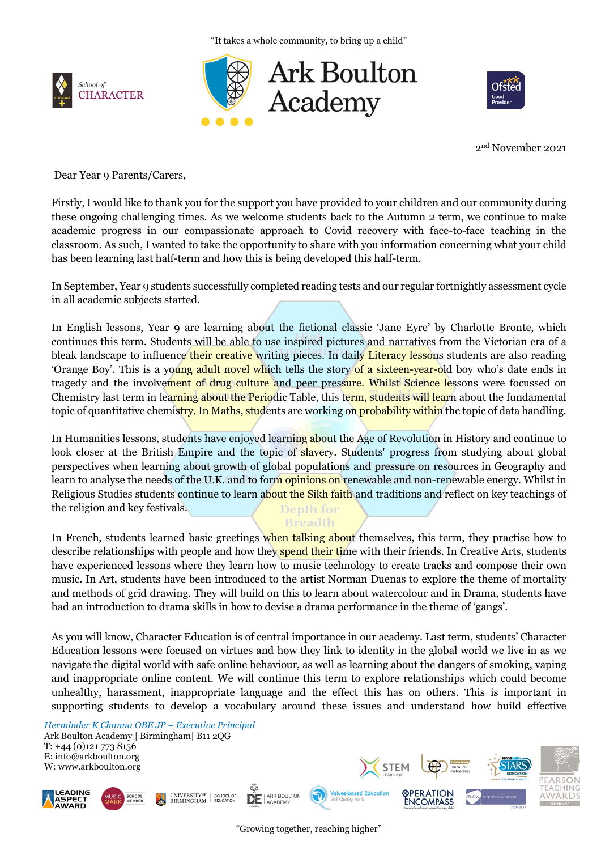"It takes a whole community, to bring up a child"







2nd November 2021

Dear Year 9 Parents/Carers,

Firstly, I would like to thank you for the support you have provided to your children and our community during these ongoing challenging times. As we welcome students back to the Autumn 2 term, we continue to make academic progress in our compassionate approach to Covid recovery with face-to-face teaching in the classroom. As such, I wanted to take the opportunity to share with you information concerning what your child has been learning last half-term and how this is being developed this half-term.

In September, Year 9 students successfully completed reading tests and our regular fortnightly assessment cycle in all academic subjects started.

In English lessons, Year 9 are learning about the fictional classic 'Jane Eyre' by Charlotte Bronte, which continues this term. Students will be able to use inspired pictures and narratives from the Victorian era of a bleak landscape to influence their creative writing pieces. In daily Literacy lessons students are also reading 'Orange Boy'. This is a young adult novel which tells the story of a sixteen-year-old boy who's date ends in tragedy and the involvement of drug culture and peer pressure. Whilst Science lessons were focussed on Chemistry last term in learning about the Periodic Table, this term, students will learn about the fundamental topic of quantitative chemistry. In Maths, students are working on probability within the topic of data handling.

In Humanities lessons, students have enjoyed learning about the Age of Revolution in History and continue to look closer at the British Empire and the topic of slavery. Students' progress from studying about global perspectives when learning about growth of global populations and pressure on resources in Geography and learn to analyse the needs of the U.K. and to form opinions on renewable and non-renewable energy. Whilst in Religious Studies students continue to learn about the Sikh faith and traditions and reflect on key teachings of the religion and key festivals. Depth for

**Breadth** 

In French, students learned basic greetings when talking about themselves, this term, they practise how to describe relationships with people and how they spend their time with their friends. In Creative Arts, students have experienced lessons where they learn how to music technology to create tracks and compose their own music. In Art, students have been introduced to the artist Norman Duenas to explore the theme of mortality and methods of grid drawing. They will build on this to learn about watercolour and in Drama, students have had an introduction to drama skills in how to devise a drama performance in the theme of 'gangs'.

As you will know, Character Education is of central importance in our academy. Last term, students' Character Education lessons were focused on virtues and how they link to identity in the global world we live in as we navigate the digital world with safe online behaviour, as well as learning about the dangers of smoking, vaping and inappropriate online content. We will continue this term to explore relationships which could become unhealthy, harassment, inappropriate language and the effect this has on others. This is important in supporting students to develop a vocabulary around these issues and understand how build effective

*Herminder K Channa OBE JP – Executive Principal* Ark Boulton Academy | Birmingham| B11 2QG T: +44 (0)121 773 8156 E: info@arkboulton.org W: www.arkboulton.org



"Growing together, reaching higher"